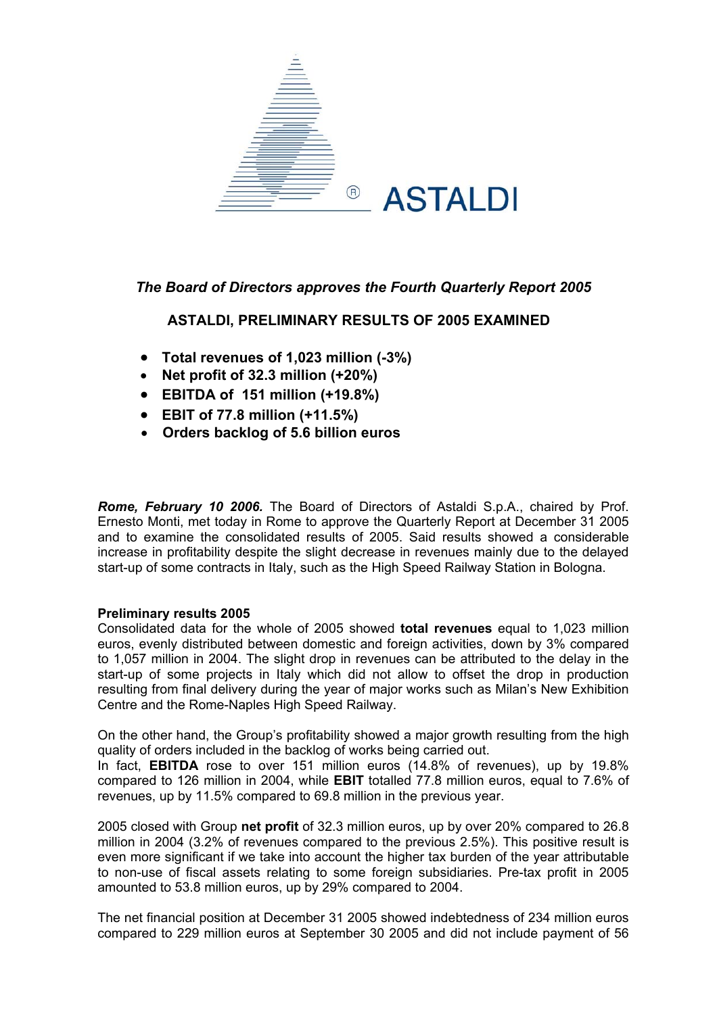

# *The Board of Directors approves the Fourth Quarterly Report 2005*

# **ASTALDI, PRELIMINARY RESULTS OF 2005 EXAMINED**

- **Total revenues of 1,023 million (-3%)**
- **Net profit of 32.3 million (+20%)**
- **EBITDA of 151 million (+19.8%)**
- **EBIT of 77.8 million (+11.5%)**
- **Orders backlog of 5.6 billion euros**

*Rome, February 10 2006.* The Board of Directors of Astaldi S.p.A., chaired by Prof. Ernesto Monti, met today in Rome to approve the Quarterly Report at December 31 2005 and to examine the consolidated results of 2005. Said results showed a considerable increase in profitability despite the slight decrease in revenues mainly due to the delayed start-up of some contracts in Italy, such as the High Speed Railway Station in Bologna.

### **Preliminary results 2005**

Consolidated data for the whole of 2005 showed **total revenues** equal to 1,023 million euros, evenly distributed between domestic and foreign activities, down by 3% compared to 1,057 million in 2004. The slight drop in revenues can be attributed to the delay in the start-up of some projects in Italy which did not allow to offset the drop in production resulting from final delivery during the year of major works such as Milan's New Exhibition Centre and the Rome-Naples High Speed Railway.

On the other hand, the Group's profitability showed a major growth resulting from the high quality of orders included in the backlog of works being carried out.

In fact, **EBITDA** rose to over 151 million euros (14.8% of revenues), up by 19.8% compared to 126 million in 2004, while **EBIT** totalled 77.8 million euros, equal to 7.6% of revenues, up by 11.5% compared to 69.8 million in the previous year.

2005 closed with Group **net profit** of 32.3 million euros, up by over 20% compared to 26.8 million in 2004 (3.2% of revenues compared to the previous 2.5%). This positive result is even more significant if we take into account the higher tax burden of the year attributable to non-use of fiscal assets relating to some foreign subsidiaries. Pre-tax profit in 2005 amounted to 53.8 million euros, up by 29% compared to 2004.

The net financial position at December 31 2005 showed indebtedness of 234 million euros compared to 229 million euros at September 30 2005 and did not include payment of 56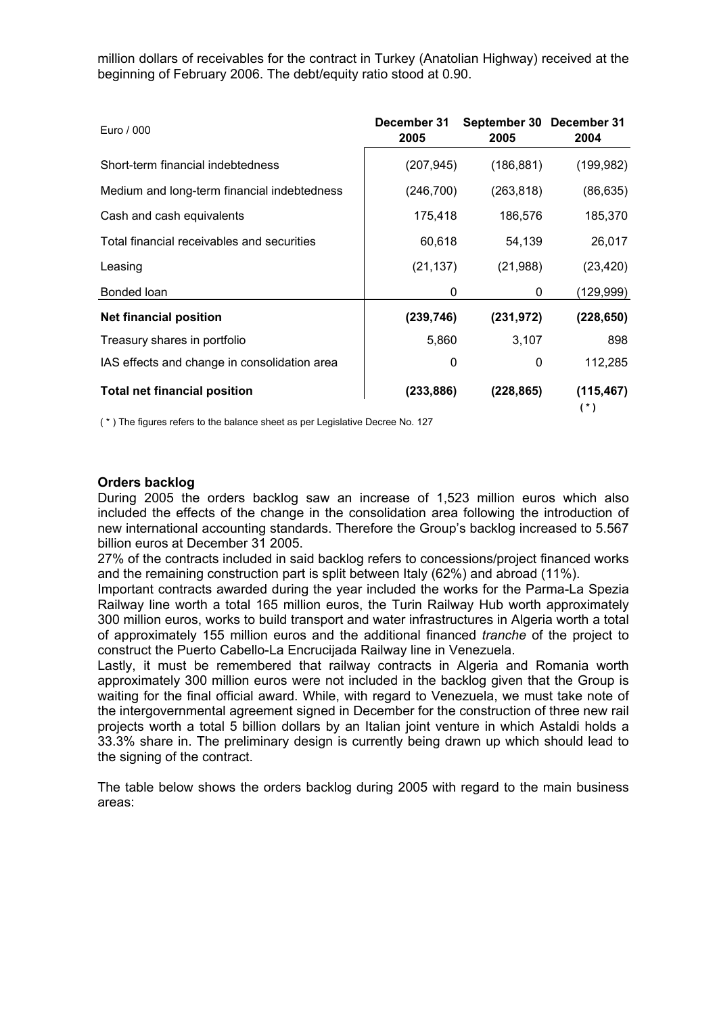million dollars of receivables for the contract in Turkey (Anatolian Highway) received at the beginning of February 2006. The debt/equity ratio stood at 0.90.

| Euro / 000                                   | December 31<br>2005 | September 30 December 31<br>2005 | 2004                |
|----------------------------------------------|---------------------|----------------------------------|---------------------|
| Short-term financial indebtedness            | (207, 945)          | (186, 881)                       | (199, 982)          |
| Medium and long-term financial indebtedness  | (246, 700)          | (263, 818)                       | (86, 635)           |
| Cash and cash equivalents                    | 175,418             | 186,576                          | 185,370             |
| Total financial receivables and securities   | 60,618              | 54,139                           | 26,017              |
| Leasing                                      | (21, 137)           | (21, 988)                        | (23, 420)           |
| Bonded loan                                  | 0                   | 0                                | (129, 999)          |
| <b>Net financial position</b>                | (239, 746)          | (231, 972)                       | (228, 650)          |
| Treasury shares in portfolio                 | 5,860               | 3,107                            | 898                 |
| IAS effects and change in consolidation area | 0                   | 0                                | 112,285             |
| <b>Total net financial position</b>          | (233,886)           | (228, 865)                       | (115, 467)<br>$(*)$ |

( \* ) The figures refers to the balance sheet as per Legislative Decree No. 127

#### **rders backlog O**

During 2005 the orders backlog saw an increase of 1,523 million euros which also included the effects of the change in the consolidation area following the introduction of new international accounting standards. Therefore the Group's backlog increased to 5.567 billion euros at December 31 2005.

27% of the contracts included in said backlog refers to concessions/project financed works and the remaining construction part is split between Italy (62%) and abroad (11%).

Important contracts awarded during the year included the works for the Parma-La Spezia Railway line worth a total 165 million euros, the Turin Railway Hub worth approximately 300 million euros, works to build transport and water infrastructures in Algeria worth a total of approximately 155 million euros and the additional financed *tranche* of the project to construct the Puerto Cabello-La Encrucijada Railway line in Venezuela.

Lastly, it must be remembered that railway contracts in Algeria and Romania worth approximately 300 million euros were not included in the backlog given that the Group is waiting for the final official award. While, with regard to Venezuela, we must take note of the intergovernmental agreement signed in December for the construction of three new rail projects worth a total 5 billion dollars by an Italian joint venture in which Astaldi holds a 33.3% share in. The preliminary design is currently being drawn up which should lead to the signing of the contract.

The table below shows the orders backlog during 2005 with regard to the main business areas: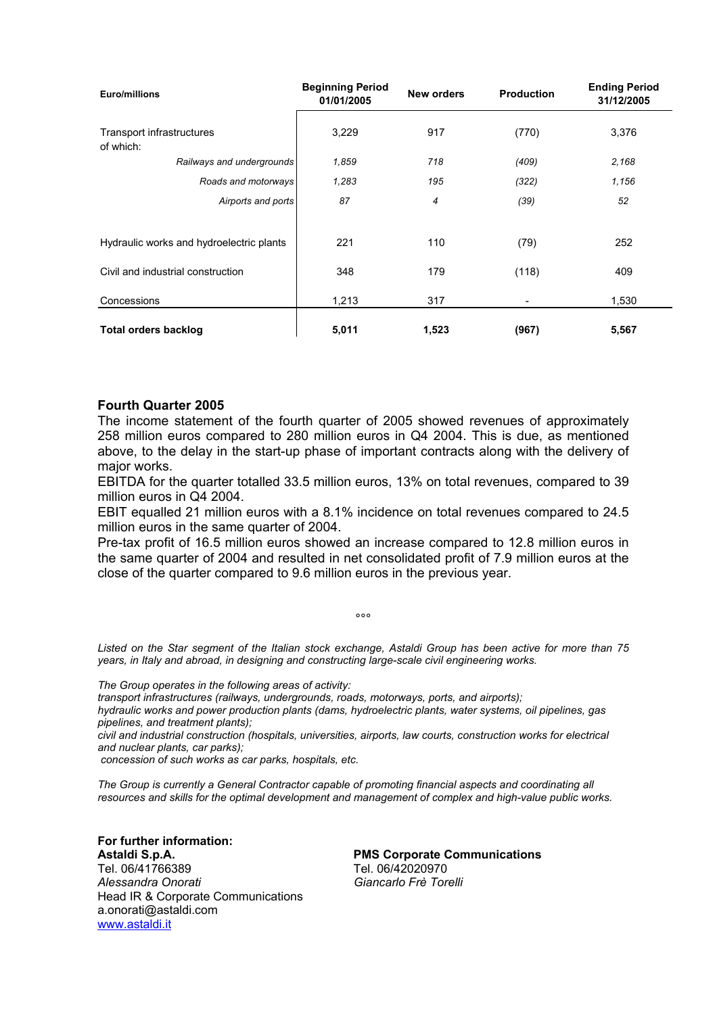| Euro/millions                            | <b>Beginning Period</b><br>01/01/2005 | <b>New orders</b> | <b>Production</b> | <b>Ending Period</b><br>31/12/2005 |  |
|------------------------------------------|---------------------------------------|-------------------|-------------------|------------------------------------|--|
| Transport infrastructures<br>of which:   | 3,229                                 | 917               | (770)             | 3,376                              |  |
| Railways and undergrounds                | 1,859                                 | 718               | (409)             | 2,168                              |  |
| Roads and motorways                      | 1,283                                 | 195               | (322)             | 1,156                              |  |
| Airports and ports                       | 87                                    | $\overline{4}$    | (39)              | 52                                 |  |
|                                          |                                       |                   |                   |                                    |  |
| Hydraulic works and hydroelectric plants | 221                                   | 110               | (79)              | 252                                |  |
| Civil and industrial construction        | 348                                   | 179               | (118)             | 409                                |  |
| Concessions                              | 1,213                                 | 317               |                   | 1,530                              |  |
| <b>Total orders backlog</b>              | 5,011                                 | 1,523             | (967)             | 5,567                              |  |

### **Fourth Quarter 2005**

The income statement of the fourth quarter of 2005 showed revenues of approximately 258 million euros compared to 280 million euros in Q4 2004. This is due, as mentioned above, to the delay in the start-up phase of important contracts along with the delivery of major works.

EBITDA for the quarter totalled 33.5 million euros, 13% on total revenues, compared to 39 million euros in Q4 2004.

EBIT equalled 21 million euros with a 8.1% incidence on total revenues compared to 24.5 million euros in the same quarter of 2004.

Pre-tax profit of 16.5 million euros showed an increase compared to 12.8 million euros in the same quarter of 2004 and resulted in net consolidated profit of 7.9 million euros at the close of the quarter compared to 9.6 million euros in the previous year.

*sted on the Star segment of the Italian stock exchange, Astaldi Group has been active for more than 75 Li years, in Italy and abroad, in designing and constructing large-scale civil engineering works.* 

 $\sim$ 

The Group operates in the following areas of activity:

*s, motorways, ports, and airports); transport infrastructures (railways, undergrounds, road*

*il pipelines, gas hydraulic works and power production plants (dams, hydroelectric plants, water systems, o pipelines, and treatment plants);* 

*spitals, universities, airports, law courts, construction works for electrical civil and industrial construction (ho and nuclear plants, car parks);* 

*r parks, hospitals, etc. concession of such works as ca*

The Group is currently a General Contractor capable of promoting financial aspects and coordinating all *s. resources and skills for the optimal development and management of complex and high-value public work*

**For further information: Astaldi S.p.A.**  Tel. 06/41766389 Tel. 06/42020970 *Alessandra Onorati Giancarlo Frè Tore* Head IR & Corporate Communications a.onorati@astaldi.com www.astaldi.it

 **PMS Corporate Communications**  Giancarlo Frè Torelli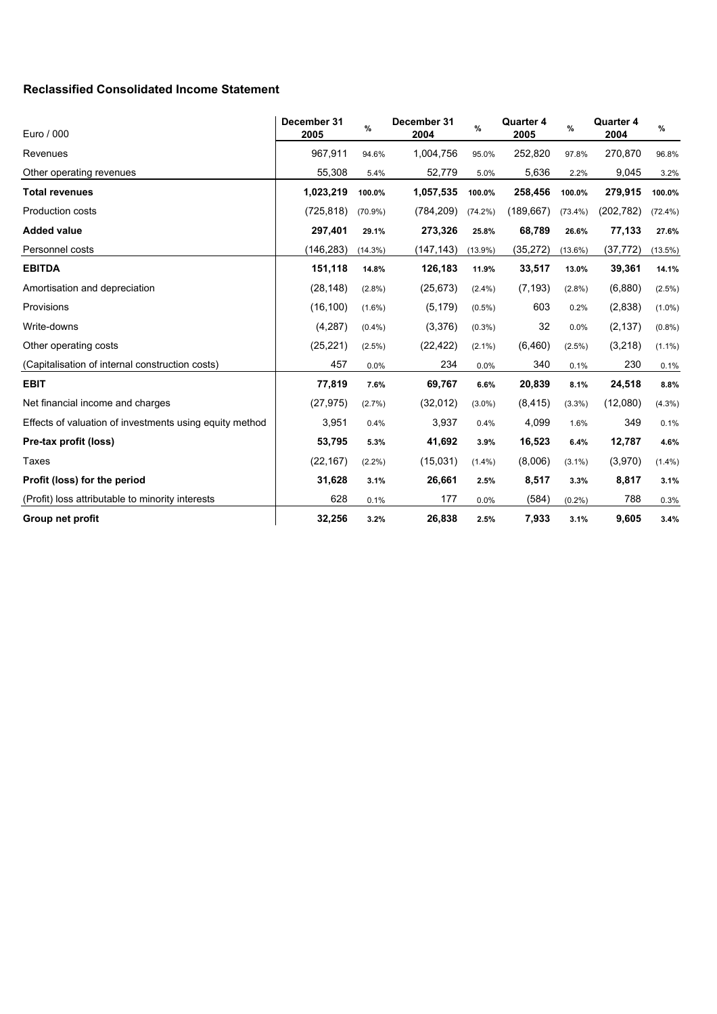## **Reclassified Consolidated Income Statement**

| Euro / 000                                              | December 31<br>2005 | %          | December 31<br>2004 | %          | <b>Quarter 4</b><br>2005 | %          | <b>Quarter 4</b><br>2004 | %          |
|---------------------------------------------------------|---------------------|------------|---------------------|------------|--------------------------|------------|--------------------------|------------|
| Revenues                                                | 967,911             | 94.6%      | 1,004,756           | 95.0%      | 252,820                  | 97.8%      | 270,870                  | 96.8%      |
| Other operating revenues                                | 55,308              | 5.4%       | 52,779              | 5.0%       | 5,636                    | 2.2%       | 9,045                    | 3.2%       |
| <b>Total revenues</b>                                   | 1,023,219           | 100.0%     | 1,057,535           | 100.0%     | 258,456                  | 100.0%     | 279,915                  | 100.0%     |
| <b>Production costs</b>                                 | (725, 818)          | $(70.9\%)$ | (784, 209)          | $(74.2\%)$ | (189, 667)               | $(73.4\%)$ | (202, 782)               | $(72.4\%)$ |
| <b>Added value</b>                                      | 297,401             | 29.1%      | 273,326             | 25.8%      | 68,789                   | 26.6%      | 77,133                   | 27.6%      |
| Personnel costs                                         | (146, 283)          | $(14.3\%)$ | (147, 143)          | $(13.9\%)$ | (35, 272)                | $(13.6\%)$ | (37, 772)                | $(13.5\%)$ |
| <b>EBITDA</b>                                           | 151,118             | 14.8%      | 126,183             | 11.9%      | 33,517                   | 13.0%      | 39,361                   | 14.1%      |
| Amortisation and depreciation                           | (28, 148)           | $(2.8\%)$  | (25, 673)           | $(2.4\%)$  | (7, 193)                 | $(2.8\%)$  | (6,880)                  | $(2.5\%)$  |
| Provisions                                              | (16, 100)           | $(1.6\%)$  | (5, 179)            | $(0.5\%)$  | 603                      | 0.2%       | (2,838)                  | $(1.0\%)$  |
| Write-downs                                             | (4, 287)            | $(0.4\%)$  | (3,376)             | $(0.3\%)$  | 32                       | 0.0%       | (2, 137)                 | (0.8%)     |
| Other operating costs                                   | (25, 221)           | $(2.5\%)$  | (22, 422)           | $(2.1\%)$  | (6, 460)                 | $(2.5\%)$  | (3,218)                  | $(1.1\%)$  |
| (Capitalisation of internal construction costs)         | 457                 | 0.0%       | 234                 | 0.0%       | 340                      | 0.1%       | 230                      | 0.1%       |
| <b>EBIT</b>                                             | 77,819              | 7.6%       | 69,767              | 6.6%       | 20,839                   | 8.1%       | 24,518                   | 8.8%       |
| Net financial income and charges                        | (27, 975)           | (2.7%)     | (32,012)            | $(3.0\%)$  | (8, 415)                 | $(3.3\%)$  | (12,080)                 | $(4.3\%)$  |
| Effects of valuation of investments using equity method | 3,951               | 0.4%       | 3,937               | 0.4%       | 4,099                    | 1.6%       | 349                      | 0.1%       |
| Pre-tax profit (loss)                                   | 53,795              | 5.3%       | 41,692              | 3.9%       | 16,523                   | 6.4%       | 12,787                   | 4.6%       |
| <b>Taxes</b>                                            | (22, 167)           | $(2.2\%)$  | (15,031)            | $(1.4\%)$  | (8,006)                  | $(3.1\%)$  | (3,970)                  | $(1.4\%)$  |
| Profit (loss) for the period                            | 31,628              | 3.1%       | 26,661              | 2.5%       | 8,517                    | 3.3%       | 8,817                    | 3.1%       |
| (Profit) loss attributable to minority interests        | 628                 | 0.1%       | 177                 | 0.0%       | (584)                    | (0.2%)     | 788                      | 0.3%       |
| Group net profit                                        | 32,256              | 3.2%       | 26,838              | 2.5%       | 7,933                    | 3.1%       | 9,605                    | 3.4%       |